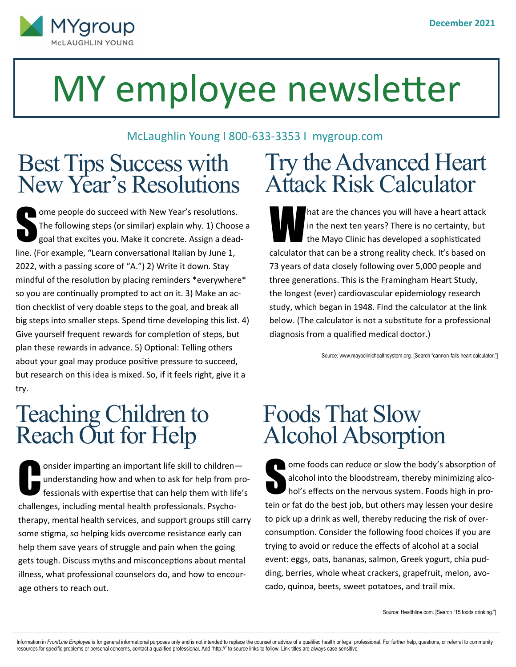

# MY employee newsletter

#### McLaughlin Young I 800-633-3353 I mygroup.com

#### Best Tips Success with New Year's Resolutions

S ome people do succeed with New Year's resolutions. The following steps (or similar) explain why. 1) Choose a goal that excites you. Make it concrete. Assign a deadline. (For example, "Learn conversational Italian by June 1, 2022, with a passing score of "A.") 2) Write it down. Stay mindful of the resolution by placing reminders \*everywhere\* so you are continually prompted to act on it. 3) Make an action checklist of very doable steps to the goal, and break all big steps into smaller steps. Spend time developing this list. 4) Give yourself frequent rewards for completion of steps, but plan these rewards in advance. 5) Optional: Telling others about your goal may produce positive pressure to succeed, but research on this idea is mixed. So, if it feels right, give it a try.

#### Teaching Children to Reach Out for Help

**C** onsider imparting an important life skill to children understanding how and when to ask for help from professionals with expertise that can help them with life's challenges, including mental health professionals. Psychotherapy, mental health services, and support groups still carry some stigma, so helping kids overcome resistance early can help them save years of struggle and pain when the going gets tough. Discuss myths and misconceptions about mental illness, what professional counselors do, and how to encourage others to reach out.

## Try the Advanced Heart Attack Risk Calculator

W hat are the chances you will have a heart attack in the next ten years? There is no certainty, but the Mayo Clinic has developed a sophisticated calculator that can be a strong reality check. It's based on 73 years of data closely following over 5,000 people and three generations. This is the Framingham Heart Study, the longest (ever) cardiovascular epidemiology research study, which began in 1948. Find the calculator at the link below. (The calculator is not a substitute for a professional diagnosis from a qualified medical doctor.)

Source: www.mayoclinichealthsystem.org. [Search "cannon-falls heart calculator."]

## Foods That Slow Alcohol Absorption

S ome foods can reduce or slow the body's absorption of alcohol into the bloodstream, thereby minimizing alcohol's effects on the nervous system. Foods high in protein or fat do the best job, but others may lessen your desire to pick up a drink as well, thereby reducing the risk of overconsumption. Consider the following food choices if you are trying to avoid or reduce the effects of alcohol at a social event: eggs, oats, bananas, salmon, Greek yogurt, chia pudding, berries, whole wheat crackers, grapefruit, melon, avocado, quinoa, beets, sweet potatoes, and trail mix.

Source: Healthline.com. [Search "15 foods drinking."]

Information in FrontLine Employee is for general informational purposes only and is not intended to replace the counsel or advice of a qualified health or legal professional. For further help, questions, or referral to com resources for specific problems or personal concerns, contact a qualified professional. Add "http://" to source links to follow. Link titles are always case sensitive.